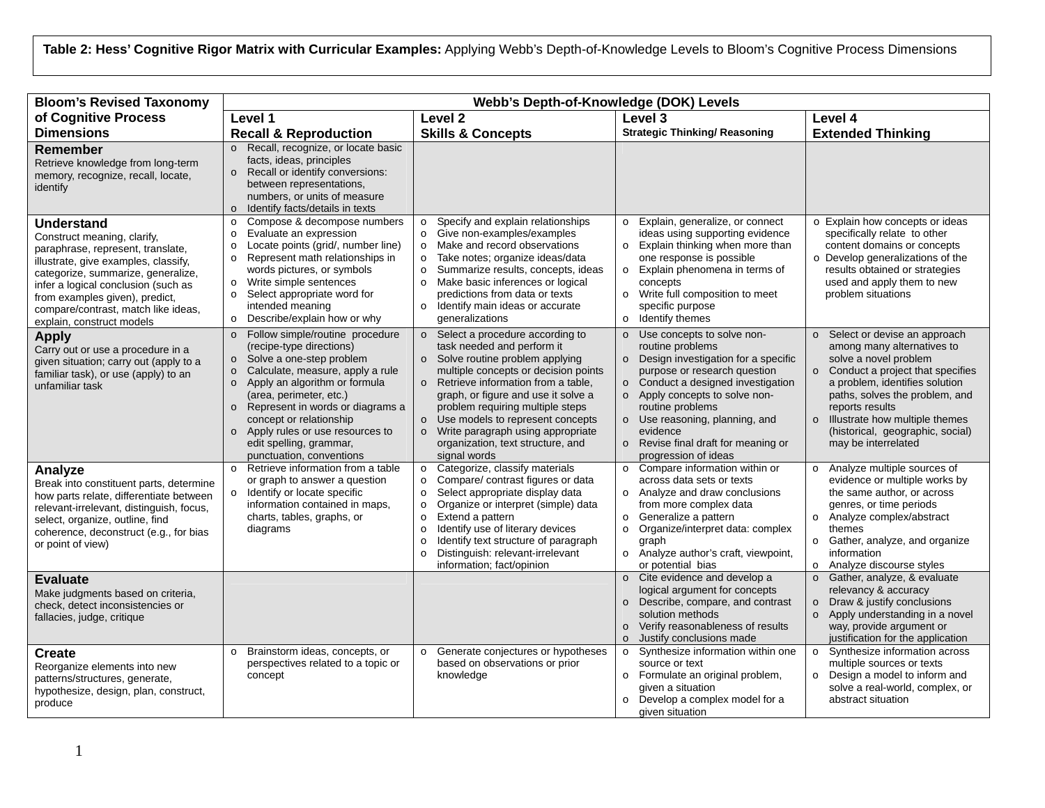**Table 2: Hess' Cognitive Rigor Matrix with Curricular Examples:** Applying Webb's Depth-of-Knowledge Levels to Bloom's Cognitive Process Dimensions

| <b>Bloom's Revised Taxonomy</b>                                                                                                                                                                                                                                                                           | Webb's Depth-of-Knowledge (DOK) Levels                                                                                                                                                                                                                                                                                                                                                        |                                                                                                                                                                                                                                                                                                                                                                                                                    |                                                                                                                                                                                                                                                                                                                                                    |                                                                                                                                                                                                                                                                                                                                     |
|-----------------------------------------------------------------------------------------------------------------------------------------------------------------------------------------------------------------------------------------------------------------------------------------------------------|-----------------------------------------------------------------------------------------------------------------------------------------------------------------------------------------------------------------------------------------------------------------------------------------------------------------------------------------------------------------------------------------------|--------------------------------------------------------------------------------------------------------------------------------------------------------------------------------------------------------------------------------------------------------------------------------------------------------------------------------------------------------------------------------------------------------------------|----------------------------------------------------------------------------------------------------------------------------------------------------------------------------------------------------------------------------------------------------------------------------------------------------------------------------------------------------|-------------------------------------------------------------------------------------------------------------------------------------------------------------------------------------------------------------------------------------------------------------------------------------------------------------------------------------|
| of Cognitive Process                                                                                                                                                                                                                                                                                      | Level 1                                                                                                                                                                                                                                                                                                                                                                                       | Level <sub>2</sub>                                                                                                                                                                                                                                                                                                                                                                                                 | Level 3                                                                                                                                                                                                                                                                                                                                            | Level 4                                                                                                                                                                                                                                                                                                                             |
| <b>Dimensions</b>                                                                                                                                                                                                                                                                                         | <b>Recall &amp; Reproduction</b>                                                                                                                                                                                                                                                                                                                                                              | <b>Skills &amp; Concepts</b>                                                                                                                                                                                                                                                                                                                                                                                       | <b>Strategic Thinking/ Reasoning</b>                                                                                                                                                                                                                                                                                                               | <b>Extended Thinking</b>                                                                                                                                                                                                                                                                                                            |
| Remember<br>Retrieve knowledge from long-term<br>memory, recognize, recall, locate,<br>identify                                                                                                                                                                                                           | o Recall, recognize, or locate basic<br>facts, ideas, principles<br>o Recall or identify conversions:<br>between representations,<br>numbers, or units of measure<br>Identify facts/details in texts<br>$\circ$                                                                                                                                                                               |                                                                                                                                                                                                                                                                                                                                                                                                                    |                                                                                                                                                                                                                                                                                                                                                    |                                                                                                                                                                                                                                                                                                                                     |
| Understand<br>Construct meaning, clarify,<br>paraphrase, represent, translate,<br>illustrate, give examples, classify,<br>categorize, summarize, generalize,<br>infer a logical conclusion (such as<br>from examples given), predict,<br>compare/contrast, match like ideas,<br>explain, construct models | Compose & decompose numbers<br>$\circ$<br>Evaluate an expression<br>$\circ$<br>Locate points (grid/, number line)<br>$\circ$<br>Represent math relationships in<br>$\circ$<br>words pictures, or symbols<br>Write simple sentences<br>$\circ$<br>Select appropriate word for<br>$\circ$<br>intended meaning<br>Describe/explain how or why<br>$\circ$                                         | Specify and explain relationships<br>$\circ$<br>Give non-examples/examples<br>$\circ$<br>Make and record observations<br>$\circ$<br>Take notes; organize ideas/data<br>$\circ$<br>Summarize results, concepts, ideas<br>$\circ$<br>Make basic inferences or logical<br>$\circ$<br>predictions from data or texts<br>Identify main ideas or accurate<br>$\circ$<br>generalizations                                  | Explain, generalize, or connect<br>$\circ$<br>ideas using supporting evidence<br>Explain thinking when more than<br>$\circ$<br>one response is possible<br>Explain phenomena in terms of<br>$\circ$<br>concepts<br>o Write full composition to meet<br>specific purpose<br>Identify themes<br>$\circ$                                              | o Explain how concepts or ideas<br>specifically relate to other<br>content domains or concepts<br>o Develop generalizations of the<br>results obtained or strategies<br>used and apply them to new<br>problem situations                                                                                                            |
| <b>Apply</b><br>Carry out or use a procedure in a<br>given situation; carry out (apply to a<br>familiar task), or use (apply) to an<br>unfamiliar task                                                                                                                                                    | Follow simple/routine procedure<br>$\circ$<br>(recipe-type directions)<br>o Solve a one-step problem<br>Calculate, measure, apply a rule<br>$\circ$<br>$\circ$ Apply an algorithm or formula<br>(area, perimeter, etc.)<br>o Represent in words or diagrams a<br>concept or relationship<br>Apply rules or use resources to<br>$\circ$<br>edit spelling, grammar,<br>punctuation, conventions | o Select a procedure according to<br>task needed and perform it<br>o Solve routine problem applying<br>multiple concepts or decision points<br>Retrieve information from a table,<br>$\circ$<br>graph, or figure and use it solve a<br>problem requiring multiple steps<br>o Use models to represent concepts<br>Write paragraph using appropriate<br>$\circ$<br>organization, text structure, and<br>signal words | Use concepts to solve non-<br>$\circ$<br>routine problems<br>Design investigation for a specific<br>$\circ$<br>purpose or research question<br>Conduct a designed investigation<br>o Apply concepts to solve non-<br>routine problems<br>o Use reasoning, planning, and<br>evidence<br>o Revise final draft for meaning or<br>progression of ideas | o Select or devise an approach<br>among many alternatives to<br>solve a novel problem<br>Conduct a project that specifies<br>$\circ$<br>a problem, identifies solution<br>paths, solves the problem, and<br>reports results<br>Illustrate how multiple themes<br>$\circ$<br>(historical, geographic, social)<br>may be interrelated |
| Analyze<br>Break into constituent parts, determine<br>how parts relate, differentiate between<br>relevant-irrelevant, distinguish, focus,<br>select, organize, outline, find<br>coherence, deconstruct (e.g., for bias<br>or point of view)                                                               | Retrieve information from a table<br>$\circ$<br>or graph to answer a question<br>o Identify or locate specific<br>information contained in maps,<br>charts, tables, graphs, or<br>diagrams                                                                                                                                                                                                    | Categorize, classify materials<br>$\circ$<br>Compare/ contrast figures or data<br>$\circ$<br>Select appropriate display data<br>$\circ$<br>Organize or interpret (simple) data<br>$\circ$<br>Extend a pattern<br>$\circ$<br>Identify use of literary devices<br>$\circ$<br>Identify text structure of paragraph<br>$\circ$<br>Distinguish: relevant-irrelevant<br>$\circ$<br>information; fact/opinion             | Compare information within or<br>$\circ$<br>across data sets or texts<br>Analyze and draw conclusions<br>$\Omega$<br>from more complex data<br>Generalize a pattern<br>$\circ$<br>Organize/interpret data: complex<br>$\circ$<br>graph<br>o Analyze author's craft, viewpoint,<br>or potential bias                                                | Analyze multiple sources of<br>$\circ$<br>evidence or multiple works by<br>the same author, or across<br>genres, or time periods<br>Analyze complex/abstract<br>$\circ$<br>themes<br>Gather, analyze, and organize<br>$\circ$<br>information<br>Analyze discourse styles<br>$\circ$                                                 |
| <b>Evaluate</b><br>Make judgments based on criteria,<br>check, detect inconsistencies or<br>fallacies, judge, critique                                                                                                                                                                                    |                                                                                                                                                                                                                                                                                                                                                                                               |                                                                                                                                                                                                                                                                                                                                                                                                                    | Cite evidence and develop a<br>$\circ$<br>logical argument for concepts<br>Describe, compare, and contrast<br>$\Omega$<br>solution methods<br>Verify reasonableness of results<br>$\circ$<br>Justify conclusions made<br>$\circ$                                                                                                                   | Gather, analyze, & evaluate<br>$\circ$<br>relevancy & accuracy<br>Draw & justify conclusions<br>$\circ$<br>Apply understanding in a novel<br>$\circ$<br>way, provide argument or<br>justification for the application                                                                                                               |
| Create<br>Reorganize elements into new<br>patterns/structures, generate,<br>hypothesize, design, plan, construct,<br>produce                                                                                                                                                                              | Brainstorm ideas, concepts, or<br>$\circ$<br>perspectives related to a topic or<br>concept                                                                                                                                                                                                                                                                                                    | Generate conjectures or hypotheses<br>$\circ$<br>based on observations or prior<br>knowledge                                                                                                                                                                                                                                                                                                                       | Synthesize information within one<br>$\circ$<br>source or text<br>Formulate an original problem,<br>$\circ$<br>given a situation<br>Develop a complex model for a<br>$\circ$<br>given situation                                                                                                                                                    | Synthesize information across<br>$\circ$<br>multiple sources or texts<br>Design a model to inform and<br>$\circ$<br>solve a real-world, complex, or<br>abstract situation                                                                                                                                                           |